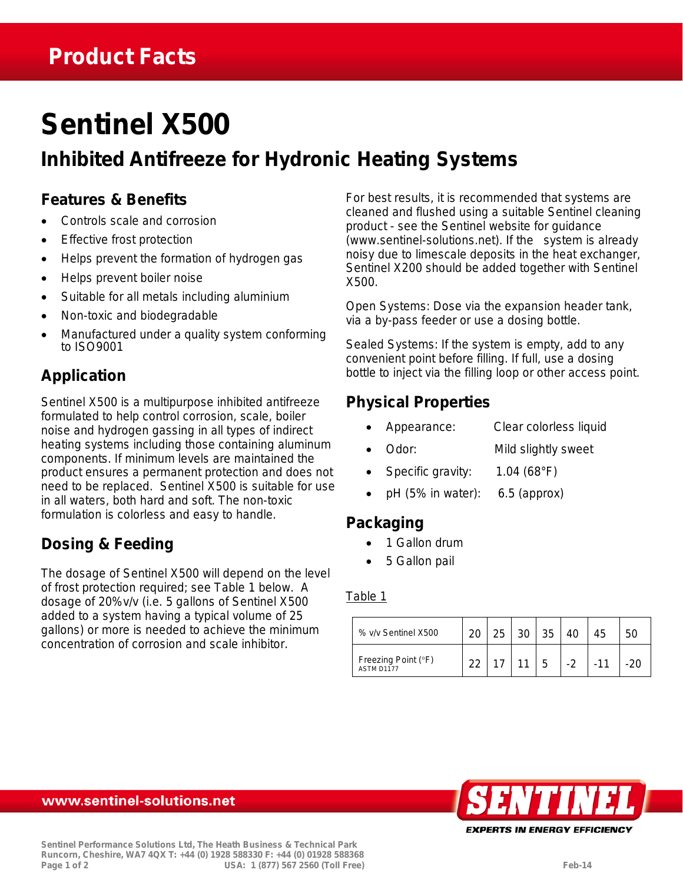# **Sentinel X500**

## **Inhibited Antifreeze for Hydronic Heating Systems**

#### **Features & Benefits**

- Controls scale and corrosion
- Effective frost protection
- Helps prevent the formation of hydrogen gas
- Helps prevent boiler noise
- Suitable for all metals including aluminium
- Non-toxic and biodegradable
- Manufactured under a quality system conforming to ISO9001

### **Application**

Sentinel X500 is a multipurpose inhibited antifreeze formulated to help control corrosion, scale, boiler noise and hydrogen gassing in all types of indirect heating systems including those containing aluminum components. If minimum levels are maintained the product ensures a permanent protection and does not need to be replaced. Sentinel X500 is suitable for use in all waters, both hard and soft. The non-toxic formulation is colorless and easy to handle.

### **Dosing & Feeding**

The dosage of Sentinel X500 will depend on the level of frost protection required; see Table 1 below. A dosage of 20%v/v (i.e. 5 gallons of Sentinel X500 added to a system having a typical volume of 25 gallons) or more is needed to achieve the minimum concentration of corrosion and scale inhibitor.

For best results, it is recommended that systems are cleaned and flushed using a suitable Sentinel cleaning product - see the Sentinel website for guidance (www.sentinel-solutions.net). If the system is already noisy due to limescale deposits in the heat exchanger, Sentinel X200 should be added together with Sentinel X500.

*Open Systems:* Dose via the expansion header tank, via a by-pass feeder or use a dosing bottle.

*Sealed Systems:* If the system is empty, add to any convenient point before filling. If full, use a dosing bottle to inject via the filling loop or other access point.

#### **Physical Properties**

- Appearance: Clear colorless liquid
- Odor: Mild slightly sweet
- Specific gravity: 1.04 (68°F)
- $pH$  (5% in water): 6.5 (approx)

## **Packaging**

- 1 Gallon drum
- 5 Gallon pail

#### Table 1

| % v/v Sentinel X500               |  | ว∩ | 35 |    | 45 |  |
|-----------------------------------|--|----|----|----|----|--|
| Freezing Point (°F)<br>ASTM D1177 |  |    |    | ົດ |    |  |



#### www.sentinel-solutions.net